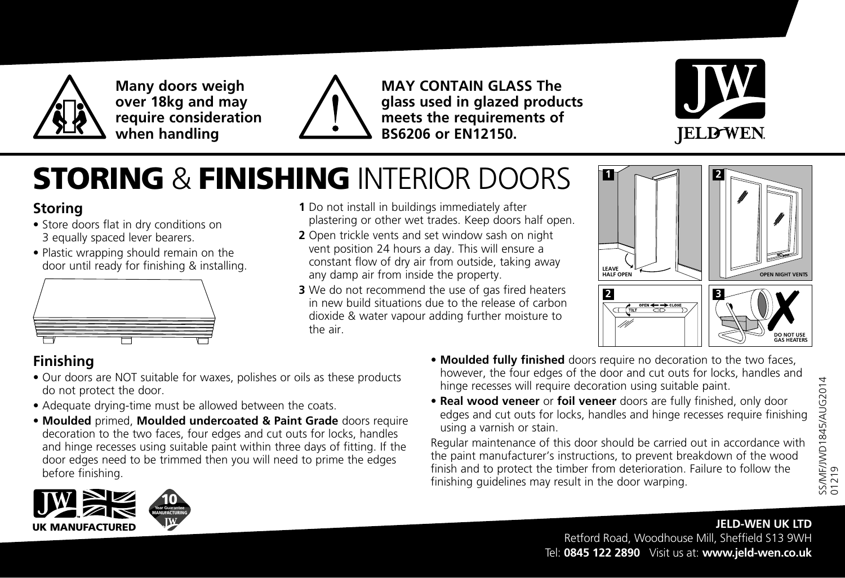

**Many doors weigh over 18kg and may require consideration when handling**



**MAY CONTAIN GLASS The glass used in glazed products meets the requirements of BS6206 or EN12150.**



# STORING & FINISHING INTERIOR DOORS

### **Storing**

- Store doors flat in dry conditions on 3 equally spaced lever bearers.
- Plastic wrapping should remain on the



- **1** Do not install in buildings immediately after plastering or other wet trades. Keep doors half open.
- **2** Open trickle vents and set window sash on night vent position 24 hours a day. This will ensure a constant flow of dry air from outside, taking away any damp air from inside the property. door until ready for finishing & installing.<br>any damp air from inside the property and away
	- **3** We do not recommend the use of gas fired heaters in new build situations due to the release of carbon dioxide & water vapour adding further moisture to the air.



### **Finishing**

- Our doors are NOT suitable for waxes, polishes or oils as these products do not protect the door.
- Adequate drying-time must be allowed between the coats.
- **Moulded** primed, **Moulded undercoated & Paint Grade** doors require decoration to the two faces, four edges and cut outs for locks, handles and hinge recesses using suitable paint within three days of fitting. If the door edges need to be trimmed then you will need to prime the edges before finishing.
- **Moulded fully finished** doors require no decoration to the two faces, however, the four edges of the door and cut outs for locks, handles and hinge recesses will require decoration using suitable paint.
- **Real wood veneer** or **foil veneer** doors are fully finished, only door edges and cut outs for locks, handles and hinge recesses require finishing using a varnish or stain.

Regular maintenance of this door should be carried out in accordance with the paint manufacturer's instructions, to prevent breakdown of the wood finish and to protect the timber from deterioration. Failure to follow the finishing guidelines may result in the door warping.



#### **JELD-WEN UK LTD** Retford Road, Woodhouse Mill, Sheffield S13 9WH Tel: **0845 122 2890** Visit us at: **www.jeld-wen.co.uk**